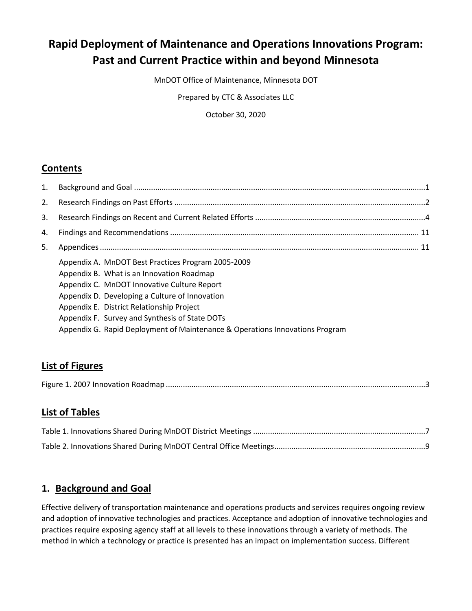## **Rapid Deployment of Maintenance and Operations Innovations Program: Past and Current Practice within and beyond Minnesota**

MnDOT Office of Maintenance, Minnesota DOT

Prepared by CTC & Associates LLC

October 30, 2020

## **Contents**

| 1. |                                                                                                                                                                                                                                                                                                                                                                                 |  |
|----|---------------------------------------------------------------------------------------------------------------------------------------------------------------------------------------------------------------------------------------------------------------------------------------------------------------------------------------------------------------------------------|--|
| 2. |                                                                                                                                                                                                                                                                                                                                                                                 |  |
| 3. |                                                                                                                                                                                                                                                                                                                                                                                 |  |
| 4. |                                                                                                                                                                                                                                                                                                                                                                                 |  |
| 5. |                                                                                                                                                                                                                                                                                                                                                                                 |  |
|    | Appendix A. MnDOT Best Practices Program 2005-2009<br>Appendix B. What is an Innovation Roadmap<br>Appendix C. MnDOT Innovative Culture Report<br>Appendix D. Developing a Culture of Innovation<br>Appendix E. District Relationship Project<br>Appendix F. Survey and Synthesis of State DOTs<br>Appendix G. Rapid Deployment of Maintenance & Operations Innovations Program |  |
|    |                                                                                                                                                                                                                                                                                                                                                                                 |  |

## **List of Figures**

## **List of Tables**

## <span id="page-0-0"></span>**1. Background and Goal**

Effective delivery of transportation maintenance and operations products and services requires ongoing review and adoption of innovative technologies and practices. Acceptance and adoption of innovative technologies and practices require exposing agency staff at all levels to these innovations through a variety of methods. The method in which a technology or practice is presented has an impact on implementation success. Different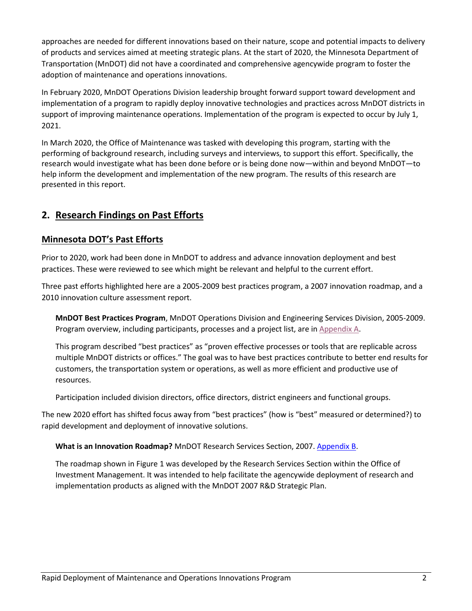approaches are needed for different innovations based on their nature, scope and potential impacts to delivery of products and services aimed at meeting strategic plans. At the start of 2020, the Minnesota Department of Transportation (MnDOT) did not have a coordinated and comprehensive agencywide program to foster the adoption of maintenance and operations innovations.

In February 2020, MnDOT Operations Division leadership brought forward support toward development and implementation of a program to rapidly deploy innovative technologies and practices across MnDOT districts in support of improving maintenance operations. Implementation of the program is expected to occur by July 1, 2021.

In March 2020, the Office of Maintenance was tasked with developing this program, starting with the performing of background research, including surveys and interviews, to support this effort. Specifically, the research would investigate what has been done before or is being done now—within and beyond MnDOT—to help inform the development and implementation of the new program. The results of this research are presented in this report.

## <span id="page-1-0"></span>**2. Research Findings on Past Efforts**

#### **Minnesota DOT's Past Efforts**

Prior to 2020, work had been done in MnDOT to address and advance innovation deployment and best practices. These were reviewed to see which might be relevant and helpful to the current effort.

Three past efforts highlighted here are a 2005-2009 best practices program, a 2007 innovation roadmap, and a 2010 innovation culture assessment report.

**MnDOT Best Practices Program**, MnDOT Operations Division and Engineering Services Division, 2005-2009. Program overview, including participants, processes and a project list, are in [Appendix A.](http://www.dot.state.mn.us/maintenance/files/research/MOI%20Program/Appendix%20A%20-%20MnDOT%20Best%20Practices%20Program%202005-2009.pdf)

This program described "best practices" as "proven effective processes or tools that are replicable across multiple MnDOT districts or offices." The goal was to have best practices contribute to better end results for customers, the transportation system or operations, as well as more efficient and productive use of resources.

Participation included division directors, office directors, district engineers and functional groups.

The new 2020 effort has shifted focus away from "best practices" (how is "best" measured or determined?) to rapid development and deployment of innovative solutions.

**What is an Innovation Roadmap?** MnDOT Research Services Section, 2007. [Appendix B.](http://www.dot.state.mn.us/maintenance/files/research/MOI%20Program/Appendix%20B%20-%20What%20is%20an%20Innovation%20Roadmap.pdf)

The roadmap shown in Figure 1 was developed by the Research Services Section within the Office of Investment Management. It was intended to help facilitate the agencywide deployment of research and implementation products as aligned with the MnDOT 2007 R&D Strategic Plan.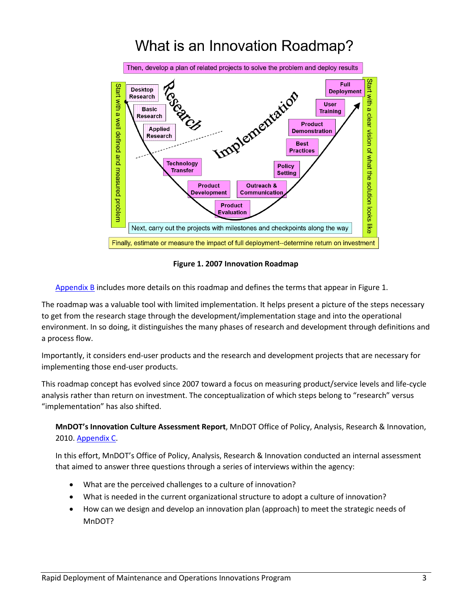# What is an Innovation Roadmap?



**Figure 1. 2007 Innovation Roadmap**

<span id="page-2-0"></span>[Appendix B](http://www.dot.state.mn.us/maintenance/files/research/MOI%20Program/Appendix%20B%20-%20What%20is%20an%20Innovation%20Roadmap.pdf) includes more details on this roadmap and defines the terms that appear in Figure 1.

The roadmap was a valuable tool with limited implementation. It helps present a picture of the steps necessary to get from the research stage through the development/implementation stage and into the operational environment. In so doing, it distinguishes the many phases of research and development through definitions and a process flow.

Importantly, it considers end-user products and the research and development projects that are necessary for implementing those end-user products.

This roadmap concept has evolved since 2007 toward a focus on measuring product/service levels and life-cycle analysis rather than return on investment. The conceptualization of which steps belong to "research" versus "implementation" has also shifted.

**MnDOT's Innovation Culture Assessment Report**, MnDOT Office of Policy, Analysis, Research & Innovation, 2010[. Appendix C.](http://www.dot.state.mn.us/maintenance/files/research/MOI%20Program/Appendix%20C%20-%20MnDOT%20Innovative%20Culture%20Report.pdf)

In this effort, MnDOT's Office of Policy, Analysis, Research & Innovation conducted an internal assessment that aimed to answer three questions through a series of interviews within the agency:

- What are the perceived challenges to a culture of innovation?
- What is needed in the current organizational structure to adopt a culture of innovation?
- How can we design and develop an innovation plan (approach) to meet the strategic needs of MnDOT?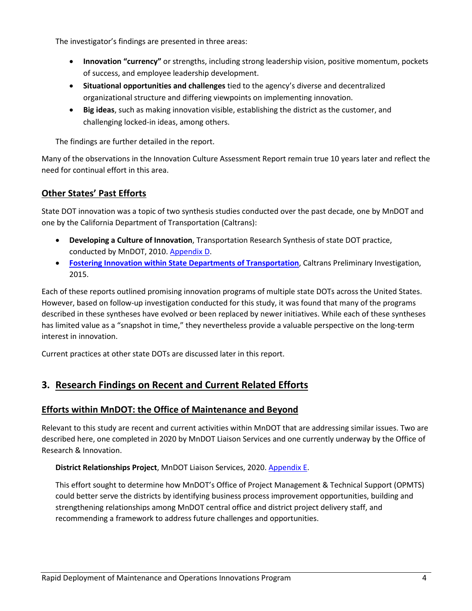The investigator's findings are presented in three areas:

- **Innovation "currency"** or strengths, including strong leadership vision, positive momentum, pockets of success, and employee leadership development.
- **Situational opportunities and challenges** tied to the agency's diverse and decentralized organizational structure and differing viewpoints on implementing innovation.
- **Big ideas**, such as making innovation visible, establishing the district as the customer, and challenging locked-in ideas, among others.

The findings are further detailed in the report.

Many of the observations in the Innovation Culture Assessment Report remain true 10 years later and reflect the need for continual effort in this area.

#### **Other States' Past Efforts**

State DOT innovation was a topic of two synthesis studies conducted over the past decade, one by MnDOT and one by the California Department of Transportation (Caltrans):

- **Developing a Culture of Innovation**, Transportation Research Synthesis of state DOT practice, conducted by MnDOT, 2010. [Appendix D.](http://www.dot.state.mn.us/maintenance/files/research/MOI%20Program/Appendix%20D%20-%20Developing%20a%20Culture%20of%20Innovation.pdf)
- **[Fostering Innovation within State Departments](https://dot.ca.gov/-/media/dot-media/programs/research-innovation-system-information/documents/preliminary-investigations/fostering-innovation-pi-2015-07-28-a11y.pdf) of Transportation**, Caltrans Preliminary Investigation, 2015.

Each of these reports outlined promising innovation programs of multiple state DOTs across the United States. However, based on follow-up investigation conducted for this study, it was found that many of the programs described in these syntheses have evolved or been replaced by newer initiatives. While each of these syntheses has limited value as a "snapshot in time," they nevertheless provide a valuable perspective on the long-term interest in innovation.

Current practices at other state DOTs are discussed later in this report.

## <span id="page-3-0"></span>**3. Research Findings on Recent and Current Related Efforts**

#### **Efforts within MnDOT: the Office of Maintenance and Beyond**

Relevant to this study are recent and current activities within MnDOT that are addressing similar issues. Two are described here, one completed in 2020 by MnDOT Liaison Services and one currently underway by the Office of Research & Innovation.

#### **District Relationships Project**, MnDOT Liaison Services, 2020[. Appendix E.](http://www.dot.state.mn.us/maintenance/files/research/MOI%20Program/Appendix%20E%20-%20District%20Relationships%20Project.pdf)

This effort sought to determine how MnDOT's Office of Project Management & Technical Support (OPMTS) could better serve the districts by identifying business process improvement opportunities, building and strengthening relationships among MnDOT central office and district project delivery staff, and recommending a framework to address future challenges and opportunities.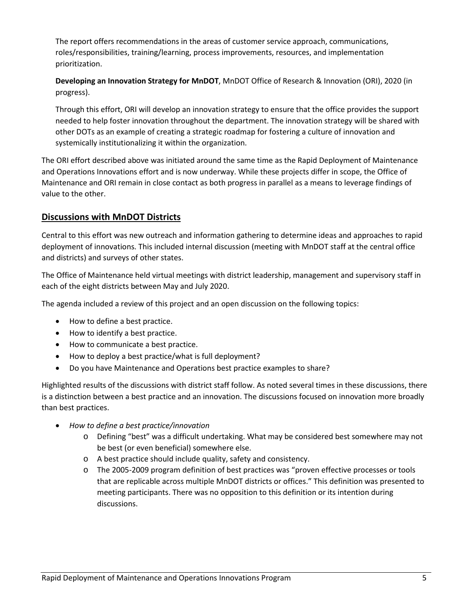The report offers recommendations in the areas of customer service approach, communications, roles/responsibilities, training/learning, process improvements, resources, and implementation prioritization.

**Developing an Innovation Strategy for MnDOT**, MnDOT Office of Research & Innovation (ORI), 2020 (in progress).

Through this effort, ORI will develop an innovation strategy to ensure that the office provides the support needed to help foster innovation throughout the department. The innovation strategy will be shared with other DOTs as an example of creating a strategic roadmap for fostering a culture of innovation and systemically institutionalizing it within the organization.

The ORI effort described above was initiated around the same time as the Rapid Deployment of Maintenance and Operations Innovations effort and is now underway. While these projects differ in scope, the Office of Maintenance and ORI remain in close contact as both progress in parallel as a means to leverage findings of value to the other.

#### **Discussions with MnDOT Districts**

Central to this effort was new outreach and information gathering to determine ideas and approaches to rapid deployment of innovations. This included internal discussion (meeting with MnDOT staff at the central office and districts) and surveys of other states.

The Office of Maintenance held virtual meetings with district leadership, management and supervisory staff in each of the eight districts between May and July 2020.

The agenda included a review of this project and an open discussion on the following topics:

- How to define a best practice.
- How to identify a best practice.
- How to communicate a best practice.
- How to deploy a best practice/what is full deployment?
- Do you have Maintenance and Operations best practice examples to share?

Highlighted results of the discussions with district staff follow. As noted several times in these discussions, there is a distinction between a best practice and an innovation. The discussions focused on innovation more broadly than best practices.

- *How to define a best practice/innovation*
	- o Defining "best" was a difficult undertaking. What may be considered best somewhere may not be best (or even beneficial) somewhere else.
	- o A best practice should include quality, safety and consistency.
	- o The 2005-2009 program definition of best practices was "proven effective processes or tools that are replicable across multiple MnDOT districts or offices." This definition was presented to meeting participants. There was no opposition to this definition or its intention during discussions.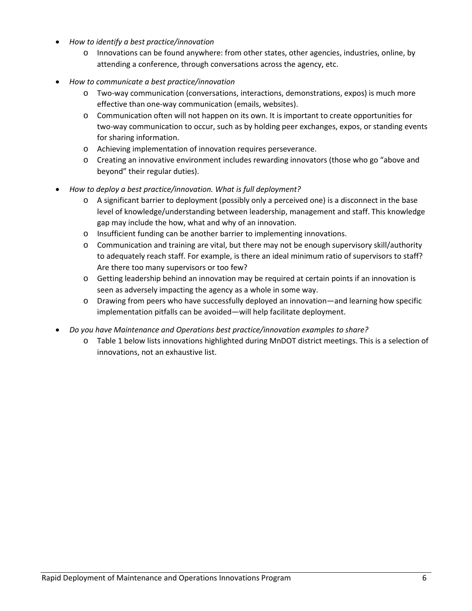- *How to identify a best practice/innovation*
	- o Innovations can be found anywhere: from other states, other agencies, industries, online, by attending a conference, through conversations across the agency, etc.
- *How to communicate a best practice/innovation*
	- o Two-way communication (conversations, interactions, demonstrations, expos) is much more effective than one-way communication (emails, websites).
	- o Communication often will not happen on its own. It is important to create opportunities for two-way communication to occur, such as by holding peer exchanges, expos, or standing events for sharing information.
	- o Achieving implementation of innovation requires perseverance.
	- o Creating an innovative environment includes rewarding innovators (those who go "above and beyond" their regular duties).
- *How to deploy a best practice/innovation. What is full deployment?*
	- $\circ$  A significant barrier to deployment (possibly only a perceived one) is a disconnect in the base level of knowledge/understanding between leadership, management and staff. This knowledge gap may include the how, what and why of an innovation.
	- o Insufficient funding can be another barrier to implementing innovations.
	- o Communication and training are vital, but there may not be enough supervisory skill/authority to adequately reach staff. For example, is there an ideal minimum ratio of supervisors to staff? Are there too many supervisors or too few?
	- o Getting leadership behind an innovation may be required at certain points if an innovation is seen as adversely impacting the agency as a whole in some way.
	- o Drawing from peers who have successfully deployed an innovation—and learning how specific implementation pitfalls can be avoided—will help facilitate deployment.
- *Do you have Maintenance and Operations best practice/innovation examples to share?*
	- o Table 1 below lists innovations highlighted during MnDOT district meetings. This is a selection of innovations, not an exhaustive list.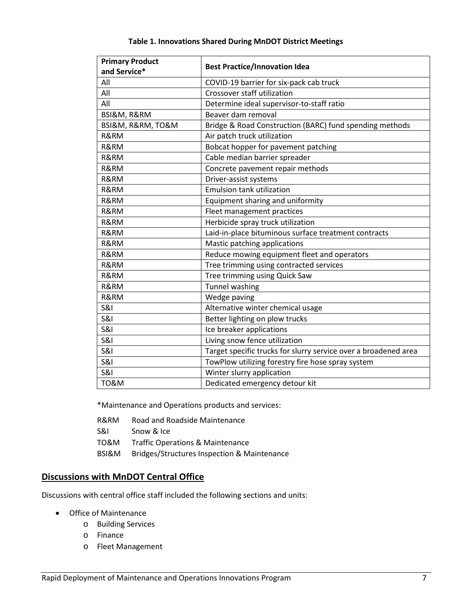<span id="page-6-0"></span>

| <b>Primary Product</b> | <b>Best Practice/Innovation Idea</b>                            |
|------------------------|-----------------------------------------------------------------|
| and Service*           |                                                                 |
| All                    | COVID-19 barrier for six-pack cab truck                         |
| All                    | Crossover staff utilization                                     |
| All                    | Determine ideal supervisor-to-staff ratio                       |
| BSI&M, R&RM            | Beaver dam removal                                              |
| BSI&M, R&RM, TO&M      | Bridge & Road Construction (BARC) fund spending methods         |
| R&RM                   | Air patch truck utilization                                     |
| R&RM                   | Bobcat hopper for pavement patching                             |
| R&RM                   | Cable median barrier spreader                                   |
| R&RM                   | Concrete pavement repair methods                                |
| R&RM                   | Driver-assist systems                                           |
| R&RM                   | <b>Emulsion tank utilization</b>                                |
| R&RM                   | Equipment sharing and uniformity                                |
| R&RM                   | Fleet management practices                                      |
| R&RM                   | Herbicide spray truck utilization                               |
| R&RM                   | Laid-in-place bituminous surface treatment contracts            |
| R&RM                   | Mastic patching applications                                    |
| R&RM                   | Reduce mowing equipment fleet and operators                     |
| R&RM                   | Tree trimming using contracted services                         |
| R&RM                   | Tree trimming using Quick Saw                                   |
| R&RM                   | Tunnel washing                                                  |
| R&RM                   | Wedge paving                                                    |
| <b>S&amp;I</b>         | Alternative winter chemical usage                               |
| <b>S&amp;I</b>         | Better lighting on plow trucks                                  |
| <b>S&amp;I</b>         | Ice breaker applications                                        |
| <b>S&amp;I</b>         | Living snow fence utilization                                   |
| <b>S&amp;I</b>         | Target specific trucks for slurry service over a broadened area |
| <b>S&amp;I</b>         | TowPlow utilizing forestry fire hose spray system               |
| <b>S&amp;I</b>         | Winter slurry application                                       |
| <b>TO&amp;M</b>        | Dedicated emergency detour kit                                  |

#### **Table 1. Innovations Shared During MnDOT District Meetings**

\*Maintenance and Operations products and services:

- R&RM Road and Roadside Maintenance
- S&I Snow & Ice
- TO&M Traffic Operations & Maintenance
- BSI&M Bridges/Structures Inspection & Maintenance

#### **Discussions with MnDOT Central Office**

Discussions with central office staff included the following sections and units:

- Office of Maintenance
	- o Building Services
	- o Finance
	- o Fleet Management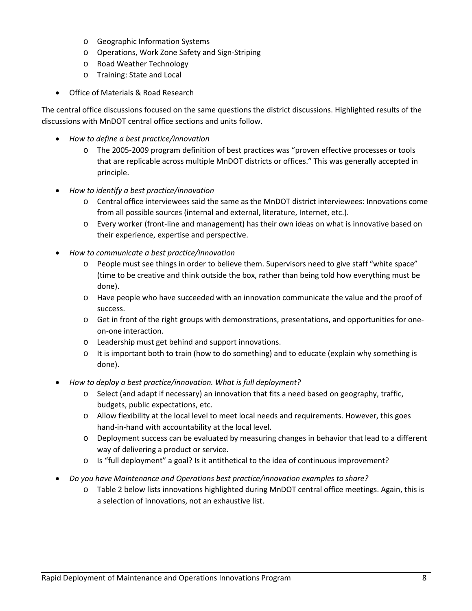- o Geographic Information Systems
- o Operations, Work Zone Safety and Sign-Striping
- o Road Weather Technology
- o Training: State and Local
- Office of Materials & Road Research

The central office discussions focused on the same questions the district discussions. Highlighted results of the discussions with MnDOT central office sections and units follow.

- *How to define a best practice/innovation*
	- o The 2005-2009 program definition of best practices was "proven effective processes or tools that are replicable across multiple MnDOT districts or offices." This was generally accepted in principle.
- *How to identify a best practice/innovation*
	- o Central office interviewees said the same as the MnDOT district interviewees: Innovations come from all possible sources (internal and external, literature, Internet, etc.).
	- o Every worker (front-line and management) has their own ideas on what is innovative based on their experience, expertise and perspective.
- *How to communicate a best practice/innovation*
	- o People must see things in order to believe them. Supervisors need to give staff "white space" (time to be creative and think outside the box, rather than being told how everything must be done).
	- o Have people who have succeeded with an innovation communicate the value and the proof of success.
	- o Get in front of the right groups with demonstrations, presentations, and opportunities for oneon-one interaction.
	- o Leadership must get behind and support innovations.
	- $\circ$  It is important both to train (how to do something) and to educate (explain why something is done).
- *How to deploy a best practice/innovation. What is full deployment?*
	- o Select (and adapt if necessary) an innovation that fits a need based on geography, traffic, budgets, public expectations, etc.
	- o Allow flexibility at the local level to meet local needs and requirements. However, this goes hand-in-hand with accountability at the local level.
	- o Deployment success can be evaluated by measuring changes in behavior that lead to a different way of delivering a product or service.
	- o Is "full deployment" a goal? Is it antithetical to the idea of continuous improvement?
- *Do you have Maintenance and Operations best practice/innovation examples to share?*
	- o Table 2 below lists innovations highlighted during MnDOT central office meetings. Again, this is a selection of innovations, not an exhaustive list.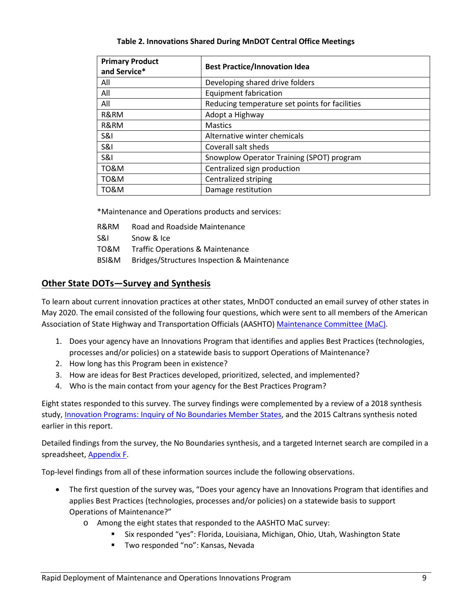<span id="page-8-0"></span>

| <b>Primary Product</b><br>and Service* | <b>Best Practice/Innovation Idea</b>           |
|----------------------------------------|------------------------------------------------|
| All                                    | Developing shared drive folders                |
| All                                    | <b>Equipment fabrication</b>                   |
| All                                    | Reducing temperature set points for facilities |
| R&RM                                   | Adopt a Highway                                |
| R&RM                                   | <b>Mastics</b>                                 |
| S&I                                    | Alternative winter chemicals                   |
| <b>S&amp;I</b>                         | Coverall salt sheds                            |
| <b>S&amp;I</b>                         | Snowplow Operator Training (SPOT) program      |
| TO&M                                   | Centralized sign production                    |
| <b>TO&amp;M</b>                        | Centralized striping                           |
| <b>TO&amp;M</b>                        | Damage restitution                             |

#### **Table 2. Innovations Shared During MnDOT Central Office Meetings**

\*Maintenance and Operations products and services:

- R&RM Road and Roadside Maintenance
- S&I Snow & Ice
- TO&M Traffic Operations & Maintenance
- BSI&M Bridges/Structures Inspection & Maintenance

#### **Other State DOTs—Survey and Synthesis**

To learn about current innovation practices at other states, MnDOT conducted an email survey of other states in May 2020. The email consisted of the following four questions, which were sent to all members of the American Association of State Highway and Transportation Officials (AASHTO) [Maintenance Committee \(MaC\).](http://maintenance.transportation.org/membership)

- 1. Does your agency have an Innovations Program that identifies and applies Best Practices (technologies, processes and/or policies) on a statewide basis to support Operations of Maintenance?
- 2. How long has this Program been in existence?
- 3. How are ideas for Best Practices developed, prioritized, selected, and implemented?
- 4. Who is the main contact from your agency for the Best Practices Program?

Eight states responded to this survey. The survey findings were complemented by a review of a 2018 synthesis study, [Innovation Programs: Inquiry of No Boundaries Member States,](http://maintainroads.org/download/innovation-programs-inquiry-of-no-boundaries-member-states/) and the 2015 Caltrans synthesis noted earlier in this report.

Detailed findings from the survey, the No Boundaries synthesis, and a targeted Internet search are compiled in a spreadsheet, [Appendix F.](http://www.dot.state.mn.us/maintenance/files/research/MOI%20Program/Appendix%20F%20-%20Survey%20and%20Synthesis%20of%20State%20DOTs.pdf)

Top-level findings from all of these information sources include the following observations.

- The first question of the survey was, "Does your agency have an Innovations Program that identifies and applies Best Practices (technologies, processes and/or policies) on a statewide basis to support Operations of Maintenance?"
	- o Among the eight states that responded to the AASHTO MaC survey:
		- Six responded "yes": Florida, Louisiana, Michigan, Ohio, Utah, Washington State
		- **Two responded "no": Kansas, Nevada**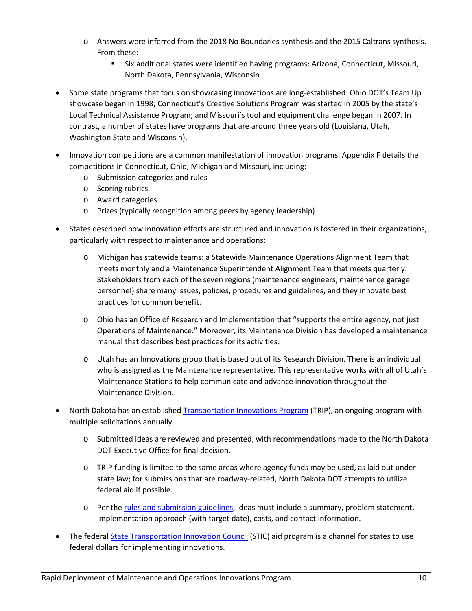- o Answers were inferred from the 2018 No Boundaries synthesis and the 2015 Caltrans synthesis. From these:
	- Six additional states were identified having programs: Arizona, Connecticut, Missouri, North Dakota, Pennsylvania, Wisconsin
- Some state programs that focus on showcasing innovations are long-established: Ohio DOT's Team Up showcase began in 1998; Connecticut's Creative Solutions Program was started in 2005 by the state's Local Technical Assistance Program; and Missouri's tool and equipment challenge began in 2007. In contrast, a number of states have programs that are around three years old (Louisiana, Utah, Washington State and Wisconsin).
- Innovation competitions are a common manifestation of innovation programs. Appendix F details the competitions in Connecticut, Ohio, Michigan and Missouri, including:
	- o Submission categories and rules
	- o Scoring rubrics
	- o Award categories
	- o Prizes (typically recognition among peers by agency leadership)
- States described how innovation efforts are structured and innovation is fostered in their organizations, particularly with respect to maintenance and operations:
	- o Michigan has statewide teams: a Statewide Maintenance Operations Alignment Team that meets monthly and a Maintenance Superintendent Alignment Team that meets quarterly. Stakeholders from each of the seven regions (maintenance engineers, maintenance garage personnel) share many issues, policies, procedures and guidelines, and they innovate best practices for common benefit.
	- o Ohio has an Office of Research and Implementation that "supports the entire agency, not just Operations of Maintenance." Moreover, its Maintenance Division has developed a maintenance manual that describes best practices for its activities.
	- o Utah has an Innovations group that is based out of its Research Division. There is an individual who is assigned as the Maintenance representative. This representative works with all of Utah's Maintenance Stations to help communicate and advance innovation throughout the Maintenance Division.
- North Dakota has an establishe[d Transportation Innovations Program](https://www.dot.nd.gov/business/innovate/) (TRIP), an ongoing program with multiple solicitations annually.
	- o Submitted ideas are reviewed and presented, with recommendations made to the North Dakota DOT Executive Office for final decision.
	- $\circ$  TRIP funding is limited to the same areas where agency funds may be used, as laid out under state law; for submissions that are roadway-related, North Dakota DOT attempts to utilize federal aid if possible.
	- o Per the [rules and submission guidelines,](https://www.dot.nd.gov/business/innovate/Call%20for%20Innovation%20Ideas.pdf) ideas must include a summary, problem statement, implementation approach (with target date), costs, and contact information.
- The federal **State Transportation Innovation Council (STIC)** aid program is a channel for states to use federal dollars for implementing innovations.